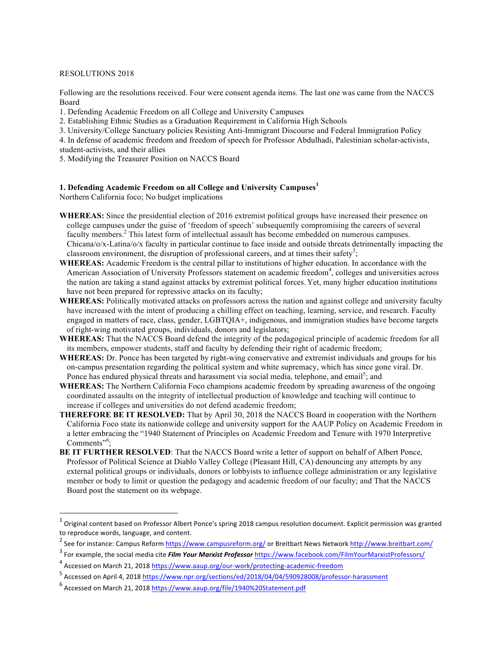#### RESOLUTIONS 2018

Following are the resolutions received. Four were consent agenda items. The last one was came from the NACCS Board

1. Defending Academic Freedom on all College and University Campuses

2. Establishing Ethnic Studies as a Graduation Requirement in California High Schools

3. University/College Sanctuary policies Resisting Anti-Immigrant Discourse and Federal Immigration Policy

4. In defense of academic freedom and freedom of speech for Professor Abdulhadi, Palestinian scholar-activists, student-activists, and their allies

5. Modifying the Treasurer Position on NACCS Board

## **1. Defending Academic Freedom on all College and University Campuses<sup>1</sup>**

Northern California foco; No budget implications

- **WHEREAS:** Since the presidential election of 2016 extremist political groups have increased their presence on college campuses under the guise of 'freedom of speech' subsequently compromising the careers of several faculty members.<sup>2</sup> This latest form of intellectual assault has become embedded on numerous campuses. Chicana/o/x-Latina/o/x faculty in particular continue to face inside and outside threats detrimentally impacting the classroom environment, the disruption of professional careers, and at times their safety<sup>3</sup>;
- **WHEREAS:** Academic Freedom is the central pillar to institutions of higher education. In accordance with the American Association of University Professors statement on academic freedom<sup>4</sup>, colleges and universities across the nation are taking a stand against attacks by extremist political forces. Yet, many higher education institutions have not been prepared for repressive attacks on its faculty;
- **WHEREAS:** Politically motivated attacks on professors across the nation and against college and university faculty have increased with the intent of producing a chilling effect on teaching, learning, service, and research. Faculty engaged in matters of race, class, gender, LGBTQIA+, indigenous, and immigration studies have become targets of right-wing motivated groups, individuals, donors and legislators;
- **WHEREAS:** That the NACCS Board defend the integrity of the pedagogical principle of academic freedom for all its members, empower students, staff and faculty by defending their right of academic freedom;
- **WHEREAS:** Dr. Ponce has been targeted by right-wing conservative and extremist individuals and groups for his on-campus presentation regarding the political system and white supremacy, which has since gone viral. Dr. Ponce has endured physical threats and harassment via social media, telephone, and email<sup>5</sup>; and
- **WHEREAS:** The Northern California Foco champions academic freedom by spreading awareness of the ongoing coordinated assaults on the integrity of intellectual production of knowledge and teaching will continue to increase if colleges and universities do not defend academic freedom;
- **THEREFORE BE IT RESOLVED:** That by April 30, 2018 the NACCS Board in cooperation with the Northern California Foco state its nationwide college and university support for the AAUP Policy on Academic Freedom in a letter embracing the "1940 Statement of Principles on Academic Freedom and Tenure with 1970 Interpretive Comments"<sup>6</sup>;
- **BE IT FURTHER RESOLVED**: That the NACCS Board write a letter of support on behalf of Albert Ponce, Professor of Political Science at Diablo Valley College (Pleasant Hill, CA) denouncing any attempts by any external political groups or individuals, donors or lobbyists to influence college administration or any legislative member or body to limit or question the pedagogy and academic freedom of our faculty; and That the NACCS Board post the statement on its webpage.

 

 $1$  Original content based on Professor Albert Ponce's spring 2018 campus resolution document. Explicit permission was granted to reproduce words, language, and content.

<sup>&</sup>lt;sup>2</sup> See for instance: Campus Reform https://www.campusreform.org/ or Breitbart News Network http://www.breitbart.com/

<sup>&</sup>lt;sup>3</sup> For example, the social media cite **Film Your Marxist Professor** https://www.facebook.com/FilmYourMarxistProfessors/

<sup>&</sup>lt;sup>4</sup> Accessed on March 21, 2018 https://www.aaup.org/our-work/protecting-academic-freedom

<sup>5&</sup>lt;br>Accessed on April 4, 2018 https://www.npr.org/sections/ed/2018/04/04/590928008/professor-harassment

<sup>&</sup>lt;sup>6</sup> Accessed on March 21, 2018 https://www.aaup.org/file/1940%20Statement.pdf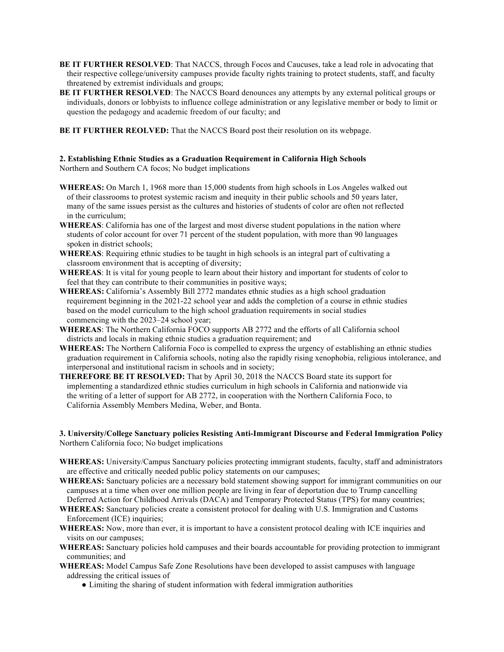- **BE IT FURTHER RESOLVED**: That NACCS, through Focos and Caucuses, take a lead role in advocating that their respective college/university campuses provide faculty rights training to protect students, staff, and faculty threatened by extremist individuals and groups;
- **BE IT FURTHER RESOLVED**: The NACCS Board denounces any attempts by any external political groups or individuals, donors or lobbyists to influence college administration or any legislative member or body to limit or question the pedagogy and academic freedom of our faculty; and
- **BE IT FURTHER REOLVED:** That the NACCS Board post their resolution on its webpage.

# **2. Establishing Ethnic Studies as a Graduation Requirement in California High Schools**

Northern and Southern CA focos; No budget implications

- **WHEREAS:** On March 1, 1968 more than 15,000 students from high schools in Los Angeles walked out of their classrooms to protest systemic racism and inequity in their public schools and 50 years later, many of the same issues persist as the cultures and histories of students of color are often not reflected in the curriculum;
- **WHEREAS**: California has one of the largest and most diverse student populations in the nation where students of color account for over 71 percent of the student population, with more than 90 languages spoken in district schools;
- **WHEREAS**: Requiring ethnic studies to be taught in high schools is an integral part of cultivating a classroom environment that is accepting of diversity;
- **WHEREAS**: It is vital for young people to learn about their history and important for students of color to feel that they can contribute to their communities in positive ways;
- **WHEREAS:** California's Assembly Bill 2772 mandates ethnic studies as a high school graduation requirement beginning in the 2021-22 school year and adds the completion of a course in ethnic studies based on the model curriculum to the high school graduation requirements in social studies commencing with the 2023–24 school year;
- **WHEREAS**: The Northern California FOCO supports AB 2772 and the efforts of all California school districts and locals in making ethnic studies a graduation requirement; and
- **WHEREAS:** The Northern California Foco is compelled to express the urgency of establishing an ethnic studies graduation requirement in California schools, noting also the rapidly rising xenophobia, religious intolerance, and interpersonal and institutional racism in schools and in society;
- **THEREFORE BE IT RESOLVED:** That by April 30, 2018 the NACCS Board state its support for implementing a standardized ethnic studies curriculum in high schools in California and nationwide via the writing of a letter of support for AB 2772, in cooperation with the Northern California Foco, to California Assembly Members Medina, Weber, and Bonta.

## **3. University/College Sanctuary policies Resisting Anti-Immigrant Discourse and Federal Immigration Policy** Northern California foco; No budget implications

- **WHEREAS:** University/Campus Sanctuary policies protecting immigrant students, faculty, staff and administrators are effective and critically needed public policy statements on our campuses;
- **WHEREAS:** Sanctuary policies are a necessary bold statement showing support for immigrant communities on our campuses at a time when over one million people are living in fear of deportation due to Trump cancelling Deferred Action for Childhood Arrivals (DACA) and Temporary Protected Status (TPS) for many countries;
- **WHEREAS:** Sanctuary policies create a consistent protocol for dealing with U.S. Immigration and Customs Enforcement (ICE) inquiries;
- **WHEREAS:** Now, more than ever, it is important to have a consistent protocol dealing with ICE inquiries and visits on our campuses;
- **WHEREAS:** Sanctuary policies hold campuses and their boards accountable for providing protection to immigrant communities; and
- **WHEREAS:** Model Campus Safe Zone Resolutions have been developed to assist campuses with language addressing the critical issues of
	- Limiting the sharing of student information with federal immigration authorities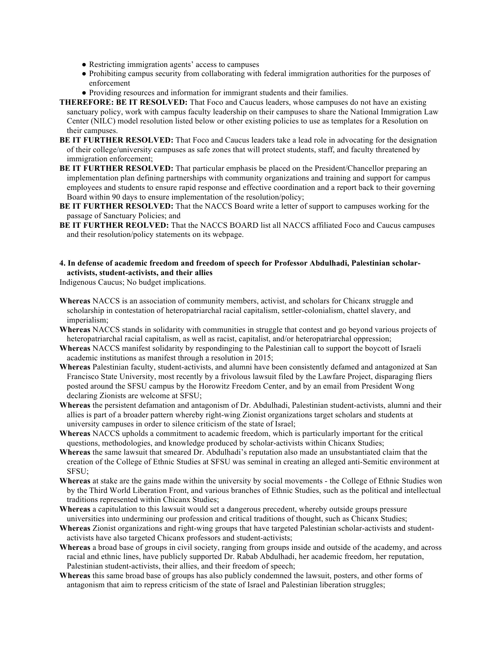- Restricting immigration agents' access to campuses
- Prohibiting campus security from collaborating with federal immigration authorities for the purposes of enforcement
- Providing resources and information for immigrant students and their families.
- **THEREFORE: BE IT RESOLVED:** That Foco and Caucus leaders, whose campuses do not have an existing sanctuary policy, work with campus faculty leadership on their campuses to share the National Immigration Law Center (NILC) model resolution listed below or other existing policies to use as templates for a Resolution on their campuses.
- **BE IT FURTHER RESOLVED:** That Foco and Caucus leaders take a lead role in advocating for the designation of their college/university campuses as safe zones that will protect students, staff, and faculty threatened by immigration enforcement;
- **BE IT FURTHER RESOLVED:** That particular emphasis be placed on the President/Chancellor preparing an implementation plan defining partnerships with community organizations and training and support for campus employees and students to ensure rapid response and effective coordination and a report back to their governing Board within 90 days to ensure implementation of the resolution/policy;
- **BE IT FURTHER RESOLVED:** That the NACCS Board write a letter of support to campuses working for the passage of Sanctuary Policies; and
- **BE IT FURTHER REOLVED:** That the NACCS BOARD list all NACCS affiliated Foco and Caucus campuses and their resolution/policy statements on its webpage.

## **4. In defense of academic freedom and freedom of speech for Professor Abdulhadi, Palestinian scholaractivists, student-activists, and their allies**

Indigenous Caucus; No budget implications.

- **Whereas** NACCS is an association of community members, activist, and scholars for Chicanx struggle and scholarship in contestation of heteropatriarchal racial capitalism, settler-colonialism, chattel slavery, and imperialism;
- **Whereas** NACCS stands in solidarity with communities in struggle that contest and go beyond various projects of heteropatriarchal racial capitalism, as well as racist, capitalist, and/or heteropatriarchal oppression;
- **Whereas** NACCS manifest solidarity by respondinging to the Palestinian call to support the boycott of Israeli academic institutions as manifest through a resolution in 2015;
- **Whereas** Palestinian faculty, student-activists, and alumni have been consistently defamed and antagonized at San Francisco State University, most recently by a frivolous lawsuit filed by the Lawfare Project, disparaging fliers posted around the SFSU campus by the Horowitz Freedom Center, and by an email from President Wong declaring Zionists are welcome at SFSU;
- **Whereas** the persistent defamation and antagonism of Dr. Abdulhadi, Palestinian student-activists, alumni and their allies is part of a broader pattern whereby right-wing Zionist organizations target scholars and students at university campuses in order to silence criticism of the state of Israel;
- **Whereas** NACCS upholds a commitment to academic freedom, which is particularly important for the critical questions, methodologies, and knowledge produced by scholar-activists within Chicanx Studies;
- **Whereas** the same lawsuit that smeared Dr. Abdulhadi's reputation also made an unsubstantiated claim that the creation of the College of Ethnic Studies at SFSU was seminal in creating an alleged anti-Semitic environment at SFSU;
- **Whereas** at stake are the gains made within the university by social movements the College of Ethnic Studies won by the Third World Liberation Front, and various branches of Ethnic Studies, such as the political and intellectual traditions represented within Chicanx Studies;
- **Whereas** a capitulation to this lawsuit would set a dangerous precedent, whereby outside groups pressure universities into undermining our profession and critical traditions of thought, such as Chicanx Studies;
- **Whereas** Zionist organizations and right-wing groups that have targeted Palestinian scholar-activists and studentactivists have also targeted Chicanx professors and student-activists;
- **Whereas** a broad base of groups in civil society, ranging from groups inside and outside of the academy, and across racial and ethnic lines, have publicly supported Dr. Rabab Abdulhadi, her academic freedom, her reputation, Palestinian student-activists, their allies, and their freedom of speech;
- **Whereas** this same broad base of groups has also publicly condemned the lawsuit, posters, and other forms of antagonism that aim to repress criticism of the state of Israel and Palestinian liberation struggles;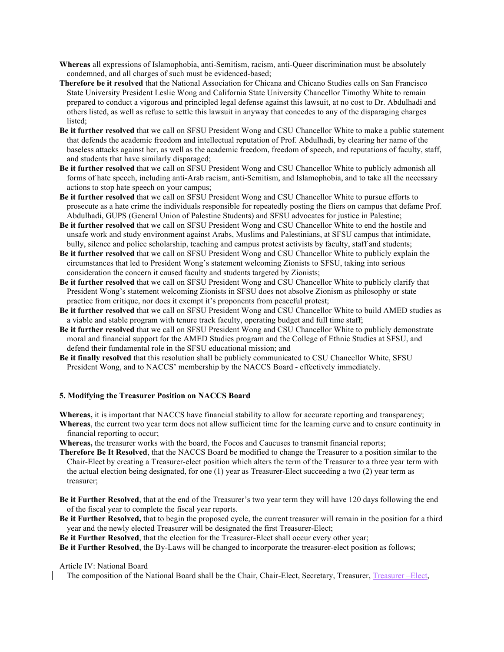- **Whereas** all expressions of Islamophobia, anti-Semitism, racism, anti-Queer discrimination must be absolutely condemned, and all charges of such must be evidenced-based;
- **Therefore be it resolved** that the National Association for Chicana and Chicano Studies calls on San Francisco State University President Leslie Wong and California State University Chancellor Timothy White to remain prepared to conduct a vigorous and principled legal defense against this lawsuit, at no cost to Dr. Abdulhadi and others listed, as well as refuse to settle this lawsuit in anyway that concedes to any of the disparaging charges listed;
- **Be it further resolved** that we call on SFSU President Wong and CSU Chancellor White to make a public statement that defends the academic freedom and intellectual reputation of Prof. Abdulhadi, by clearing her name of the baseless attacks against her, as well as the academic freedom, freedom of speech, and reputations of faculty, staff, and students that have similarly disparaged;
- **Be it further resolved** that we call on SFSU President Wong and CSU Chancellor White to publicly admonish all forms of hate speech, including anti-Arab racism, anti-Semitism, and Islamophobia, and to take all the necessary actions to stop hate speech on your campus;
- **Be it further resolved** that we call on SFSU President Wong and CSU Chancellor White to pursue efforts to prosecute as a hate crime the individuals responsible for repeatedly posting the fliers on campus that defame Prof. Abdulhadi, GUPS (General Union of Palestine Students) and SFSU advocates for justice in Palestine;
- **Be it further resolved** that we call on SFSU President Wong and CSU Chancellor White to end the hostile and unsafe work and study environment against Arabs, Muslims and Palestinians, at SFSU campus that intimidate, bully, silence and police scholarship, teaching and campus protest activists by faculty, staff and students;
- **Be it further resolved** that we call on SFSU President Wong and CSU Chancellor White to publicly explain the circumstances that led to President Wong's statement welcoming Zionists to SFSU, taking into serious consideration the concern it caused faculty and students targeted by Zionists;
- **Be it further resolved** that we call on SFSU President Wong and CSU Chancellor White to publicly clarify that President Wong's statement welcoming Zionists in SFSU does not absolve Zionism as philosophy or state practice from critique, nor does it exempt it's proponents from peaceful protest;
- **Be it further resolved** that we call on SFSU President Wong and CSU Chancellor White to build AMED studies as a viable and stable program with tenure track faculty, operating budget and full time staff;
- **Be it further resolved** that we call on SFSU President Wong and CSU Chancellor White to publicly demonstrate moral and financial support for the AMED Studies program and the College of Ethnic Studies at SFSU, and defend their fundamental role in the SFSU educational mission; and
- **Be it finally resolved** that this resolution shall be publicly communicated to CSU Chancellor White, SFSU President Wong, and to NACCS' membership by the NACCS Board - effectively immediately.

#### **5. Modifying the Treasurer Position on NACCS Board**

**Whereas,** it is important that NACCS have financial stability to allow for accurate reporting and transparency;

**Whereas**, the current two year term does not allow sufficient time for the learning curve and to ensure continuity in financial reporting to occur;

**Whereas,** the treasurer works with the board, the Focos and Caucuses to transmit financial reports;

- **Therefore Be It Resolved**, that the NACCS Board be modified to change the Treasurer to a position similar to the Chair-Elect by creating a Treasurer-elect position which alters the term of the Treasurer to a three year term with the actual election being designated, for one (1) year as Treasurer-Elect succeeding a two (2) year term as treasurer;
- **Be it Further Resolved**, that at the end of the Treasurer's two year term they will have 120 days following the end of the fiscal year to complete the fiscal year reports.
- **Be it Further Resolved,** that to begin the proposed cycle, the current treasurer will remain in the position for a third year and the newly elected Treasurer will be designated the first Treasurer-Elect;

**Be it Further Resolved**, that the election for the Treasurer-Elect shall occur every other year;

**Be it Further Resolved**, the By-Laws will be changed to incorporate the treasurer-elect position as follows;

#### Article IV: National Board

The composition of the National Board shall be the Chair, Chair-Elect, Secretary, Treasurer, Treasurer –Elect,